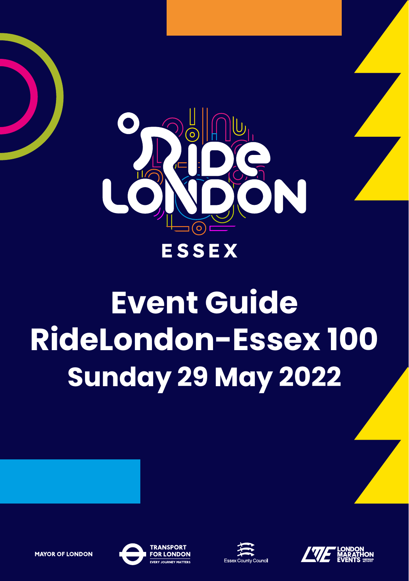

RideLondon Sunday 29 May 2022

# **Event Guide RideLondon-Essex 100 Sunday 29 May 2022**





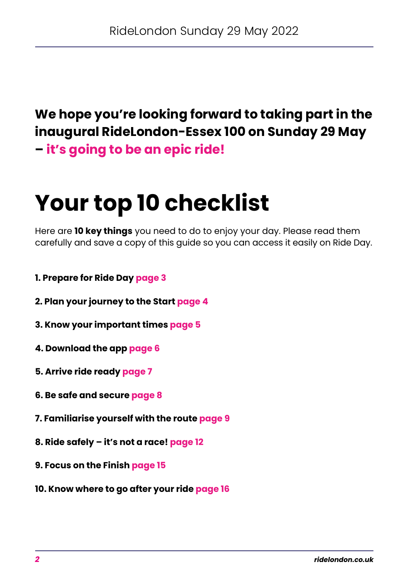### **We hope you're looking forward to taking part in the inaugural RideLondon-Essex 100 on Sunday 29 May – it's going to be an epic ride!**

## **Your top 10 checklist**

Here are **10 key things** you need to do to enjoy your day. Please read them carefully and save a copy of this guide so you can access it easily on Ride Day.

- **[1. Prepare for Ride Day page 3](#page-2-0)**
- **[2. Plan your journey to the Start page 4](#page-3-0)**
- **[3. Know your important times page 5](#page-4-0)**
- **[4. Download the app page 6](#page-5-0)**
- **[5. Arrive ride ready page 7](#page-6-0)**
- **[6. Be safe and secure page 8](#page-7-0)**
- **[7. Familiarise yourself with the route page 9](#page-8-0)**
- **[8. Ride safely it's not a race! page 12](#page-11-0)**
- **[9. Focus on the Finish page 15](#page-14-0)**
- **[10. Know where to go after your ride page 16](#page-15-0)**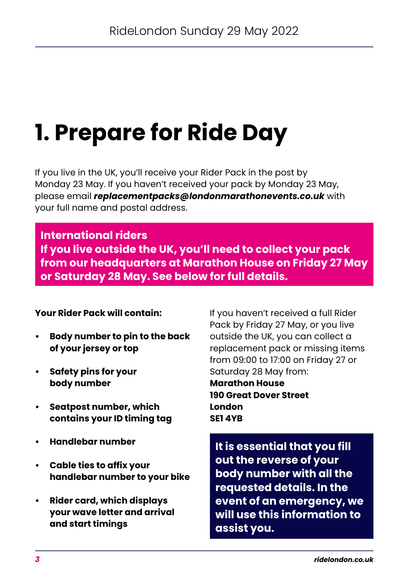## <span id="page-2-0"></span>**1. Prepare for Ride Day**

 If you live in the UK, you'll receive your Rider Pack in the post by Monday 23 May. If you haven't received your pack by Monday 23 May, please email *[replacementpacks@londonmarathonevents.co.uk](mailto:replacementpacks%40londonmarathonevents.co.uk?subject=)* with your full name and postal address.

#### **International riders**

**If you live outside the UK, you'll need to collect your pack from our headquarters at Marathon House on Friday 27 May or Saturday 28 May. See below for full details.** 

#### **Your Rider Pack will contain:**

- **Body number to pin to the back of your jersey or top**
- **Safety pins for your body number**
- **Seatpost number, which contains your ID timing tag**
- **• Handlebar number**
- **Cable ties to affix your handlebar number to your bike**
- **Rider card, which displays your wave letter and arrival and start timings**

If you haven't received a full Rider Pack by Friday 27 May, or you live outside the UK, you can collect a replacement pack or missing items from 09:00 to 17:00 on Friday 27 or Saturday 28 May from:

**Marathon House 190 Great Dover Street London SE1 4YB**

**It is essential that you fill out the reverse of your body number with all the requested details. In the event of an emergency, we will use this information to assist you.**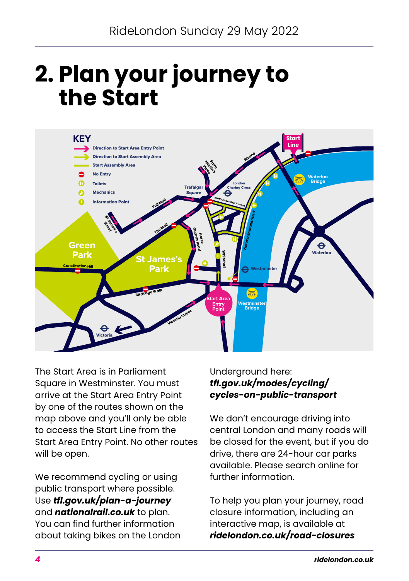### <span id="page-3-0"></span>**2. Plan your journey to the Start**



The Start Area is in Parliament Square in Westminster. You must arrive at the Start Area Entry Point by one of the routes shown on the map above and you'll only be able to access the Start Line from the Start Area Entry Point. No other routes will be open.

We recommend cycling or using public transport where possible. Use *[tfl.gov.uk/plan-a-journey](https://tfl.gov.uk/plan-a-journey/?cid=plan-a-journey)* and *[nationalrail.co.uk](https://www.nationalrail.co.uk/)* to plan. You can find further information about taking bikes on the London

#### Underground here: *[tfl.gov.uk/modes/cycling/](https://tfl.gov.uk/modes/cycling/cycles-on-public-transport) [cycles-on-public-transport](https://tfl.gov.uk/modes/cycling/cycles-on-public-transport)*

We don't encourage driving into central London and many roads will be closed for the event, but if you do drive, there are 24-hour car parks available. Please search online for further information.

To help you plan your journey, road closure information, including an interactive map, is available at *[ridelondon.co.uk/road-closures](https://ridelondon.co.uk/road-closures/routes-and-road-closures)*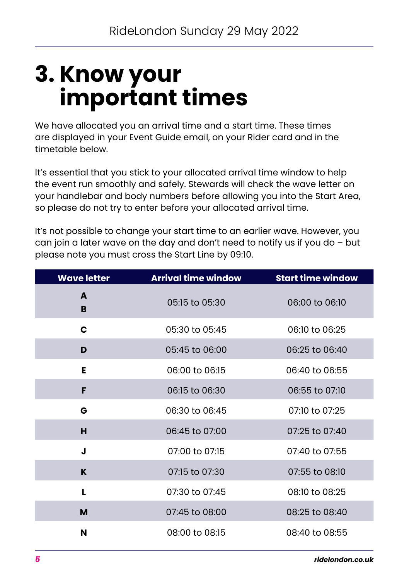### <span id="page-4-0"></span>**3. Know your important times**

We have allocated you an arrival time and a start time. These times are displayed in your Event Guide email, on your Rider card and in the timetable below.

It's essential that you stick to your allocated arrival time window to help the event run smoothly and safely. Stewards will check the wave letter on your handlebar and body numbers before allowing you into the Start Area, so please do not try to enter before your allocated arrival time.

It's not possible to change your start time to an earlier wave. However, you can join a later wave on the day and don't need to notify us if you do – but please note you must cross the Start Line by 09:10.

| <b>Wave letter</b> | Arrival time window | <b>Start time window</b> |
|--------------------|---------------------|--------------------------|
| A<br>B             | 05:15 to 05:30      | 06:00 to 06:10           |
| C                  | 05:30 to 05:45      | 06:10 to 06:25           |
| D                  | 05:45 to 06:00      | 06:25 to 06:40           |
| Е                  | 06:00 to 06:15      | 06:40 to 06:55           |
| F                  | 06:15 to 06:30      | 06:55 to 07:10           |
| G                  | 06:30 to 06:45      | 07:10 to 07:25           |
| н                  | $06:45$ to $07:00$  | $07:25$ to $07:40$       |
| J                  | 07:00 to 07:15      | 07:40 to 07:55           |
| K                  | 07:15 to 07:30      | 07:55 to 08:10           |
| L                  | 07:30 to 07:45      | 08:10 to 08:25           |
| M                  | 07:45 to 08:00      | 08:25 to 08:40           |
| N                  | 08:00 to 08:15      | 08:40 to 08:55           |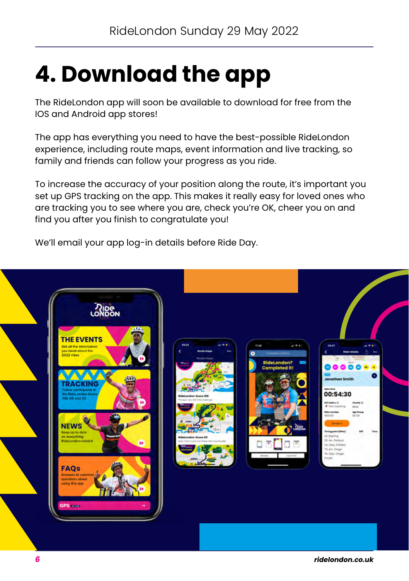## <span id="page-5-0"></span>**4. Download the app**

The RideLondon app will soon be available to download for free from the IOS and Android app stores!

The app has everything you need to have the best-possible RideLondon experience, including route maps, event information and live tracking, so family and friends can follow your progress as you ride.

To increase the accuracy of your position along the route, it's important you set up GPS tracking on the app. This makes it really easy for loved ones who are tracking you to see where you are, check you're OK, cheer you on and find you after you finish to congratulate you!

We'll email your app log-in details before Ride Day.

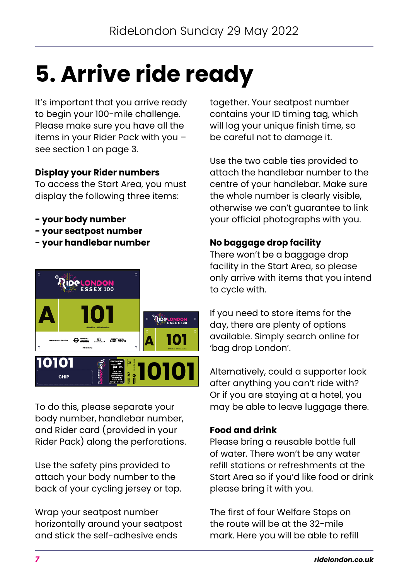## <span id="page-6-0"></span>**5. Arrive ride ready**

It's important that you arrive ready to begin your 100-mile challenge. Please make sure you have all the items in your Rider Pack with you – see section 1 on page 3.

#### **Display your Rider numbers**

To access the Start Area, you must display the following three items:

- **your body number**
- **your seatpost number**
- **your handlebar number**



To do this, please separate your body number, handlebar number, and Rider card (provided in your Rider Pack) along the perforations.

Use the safety pins provided to attach your body number to the back of your cycling jersey or top.

Wrap your seatpost number horizontally around your seatpost and stick the self-adhesive ends

together. Your seatpost number contains your ID timing tag, which will log your unique finish time, so be careful not to damage it.

Use the two cable ties provided to attach the handlebar number to the centre of your handlebar. Make sure the whole number is clearly visible, otherwise we can't guarantee to link your official photographs with you.

#### **No baggage drop facility**

There won't be a baggage drop facility in the Start Area, so please only arrive with items that you intend to cycle with.

If you need to store items for the day, there are plenty of options available. Simply search online for 'bag drop London'.

Alternatively, could a supporter look after anything you can't ride with? Or if you are staying at a hotel, you may be able to leave luggage there.

#### **Food and drink**

Please bring a reusable bottle full of water. There won't be any water refill stations or refreshments at the Start Area so if you'd like food or drink please bring it with you.

The first of four Welfare Stops on the route will be at the 32-mile mark. Here you will be able to refill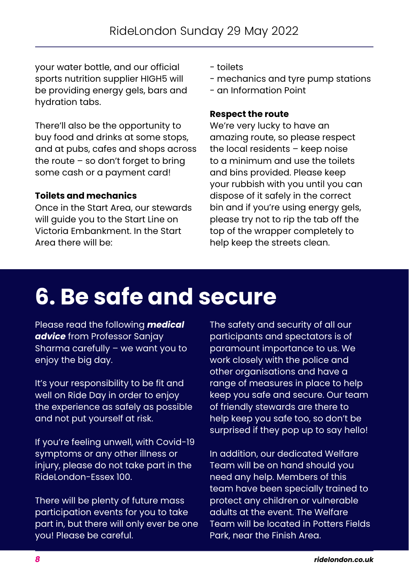<span id="page-7-0"></span>your water bottle, and our official sports nutrition supplier HIGH5 will be providing energy gels, bars and hydration tabs.

There'll also be the opportunity to buy food and drinks at some stops, and at pubs, cafes and shops across the route – so don't forget to bring some cash or a payment card!

#### **Toilets and mechanics**

Once in the Start Area, our stewards will guide you to the Start Line on Victoria Embankment. In the Start Area there will be:

- toilets
- mechanics and tyre pump stations
- an Information Point

#### **Respect the route**

We're very lucky to have an amazing route, so please respect the local residents – keep noise to a minimum and use the toilets and bins provided. Please keep your rubbish with you until you can dispose of it safely in the correct bin and if you're using energy gels, please try not to rip the tab off the top of the wrapper completely to help keep the streets clean.

### **[6. Be safe and secure](https://www.ridelondon.co.uk/our-rides/participant-info/medical-advice)**

[Please read the following](https://www.ridelondon.co.uk/our-rides/participant-info/medical-advice) *medical advice* [from Professor Sanjay](https://www.ridelondon.co.uk/our-rides/participant-info/medical-advice)  [Sharma carefully – we want you to](https://www.ridelondon.co.uk/our-rides/participant-info/medical-advice)  [enjoy the big day.](https://www.ridelondon.co.uk/our-rides/participant-info/medical-advice)

[It's your responsibility to be fit and](https://www.ridelondon.co.uk/our-rides/participant-info/medical-advice)  [well on Ride Day in order to enjoy](https://www.ridelondon.co.uk/our-rides/participant-info/medical-advice)  [the experience as safely as possible](https://www.ridelondon.co.uk/our-rides/participant-info/medical-advice)  [and not put yourself at risk.](https://www.ridelondon.co.uk/our-rides/participant-info/medical-advice)

[If you're feeling unwell, with Covid-19](https://www.ridelondon.co.uk/our-rides/participant-info/medical-advice)  [symptoms or any other illness or](https://www.ridelondon.co.uk/our-rides/participant-info/medical-advice)  injury, please do not take part in the Ridel ondon-Essex 100

[There will be plenty of future mass](https://www.ridelondon.co.uk/our-rides/participant-info/medical-advice)  [participation events for you to take](https://www.ridelondon.co.uk/our-rides/participant-info/medical-advice)  [part in, but there will only ever be one](https://www.ridelondon.co.uk/our-rides/participant-info/medical-advice)  [you! Please be careful.](https://www.ridelondon.co.uk/our-rides/participant-info/medical-advice)

[The safety and security of all our](https://www.ridelondon.co.uk/our-rides/participant-info/medical-advice)  [participants and spectators is of](https://www.ridelondon.co.uk/our-rides/participant-info/medical-advice)  [paramount importance to us. We](https://www.ridelondon.co.uk/our-rides/participant-info/medical-advice)  [work closely with the police and](https://www.ridelondon.co.uk/our-rides/participant-info/medical-advice)  [other organisations and have a](https://www.ridelondon.co.uk/our-rides/participant-info/medical-advice)  [range of measures in place to help](https://www.ridelondon.co.uk/our-rides/participant-info/medical-advice)  [keep you safe and secure. Our team](https://www.ridelondon.co.uk/our-rides/participant-info/medical-advice)  [of friendly stewards are there to](https://www.ridelondon.co.uk/our-rides/participant-info/medical-advice)  [help keep you safe too, so don't be](https://www.ridelondon.co.uk/our-rides/participant-info/medical-advice)  [surprised if they pop up to say hello!](https://www.ridelondon.co.uk/our-rides/participant-info/medical-advice) 

[In addition, our dedicated Welfare](https://www.ridelondon.co.uk/our-rides/participant-info/medical-advice)  [Team will be on hand should you](https://www.ridelondon.co.uk/our-rides/participant-info/medical-advice)  [need any help. Members of this](https://www.ridelondon.co.uk/our-rides/participant-info/medical-advice)  [team have been specially trained to](https://www.ridelondon.co.uk/our-rides/participant-info/medical-advice)  [protect any children or vulnerable](https://www.ridelondon.co.uk/our-rides/participant-info/medical-advice)  [adults at the event. The Welfare](https://www.ridelondon.co.uk/our-rides/participant-info/medical-advice)  [Team will be located in Potters Fields](https://www.ridelondon.co.uk/our-rides/participant-info/medical-advice)  [Park, near the Finish Area.](https://www.ridelondon.co.uk/our-rides/participant-info/medical-advice)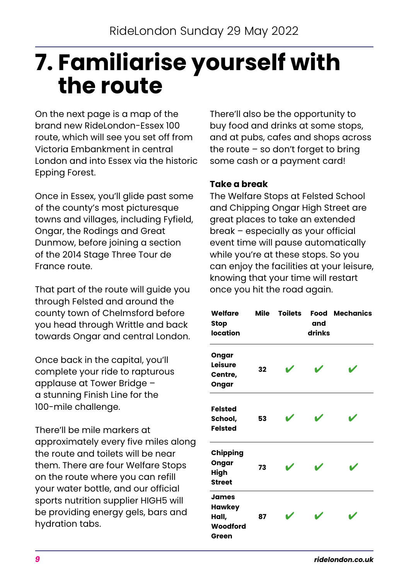### <span id="page-8-0"></span>**7. Familiarise yourself with the route**

On the next page is a map of the brand new RideLondon-Essex 100 route, which will see you set off from Victoria Embankment in central London and into Essex via the historic Epping Forest.

Once in Essex, you'll glide past some of the county's most picturesque towns and villages, including Fyfield, Ongar, the Rodings and Great Dunmow, before joining a section of the 2014 Stage Three Tour de France route.

That part of the route will guide you through Felsted and around the county town of Chelmsford before you head through Writtle and back towards Ongar and central London.

Once back in the capital, you'll complete your ride to rapturous applause at Tower Bridge – a stunning Finish Line for the 100-mile challenge.

There'll be mile markers at approximately every five miles along the route and toilets will be near them. There are four Welfare Stops on the route where you can refill your water bottle, and our official sports nutrition supplier HIGH5 will be providing energy gels, bars and hydration tabs.

There'll also be the opportunity to buy food and drinks at some stops, and at pubs, cafes and shops across the route  $-$  so don't forget to bring some cash or a payment card!

#### **Take a break**

The Welfare Stops at Felsted School and Chipping Ongar High Street are great places to take an extended break – especially as your official event time will pause automatically while you're at these stops. So you can enjoy the facilities at your leisure, knowing that your time will restart once you hit the road again.

| Welfare<br>Stop<br><b>location</b>                   | Mile | <b>Toilets</b> | Food<br>and<br>drinks | <b>Mechanics</b> |
|------------------------------------------------------|------|----------------|-----------------------|------------------|
| Ongar<br>Leisure<br>Centre,<br>Ongar                 | 32   |                |                       |                  |
| <b>Felsted</b><br>School,<br><b>Felsted</b>          | 53   |                |                       |                  |
| Chipping<br>Ongar<br>High<br><b>Street</b>           | 73   |                |                       |                  |
| <b>James</b><br>Hawkey<br>Hall,<br>Woodford<br>Green | 87   |                |                       |                  |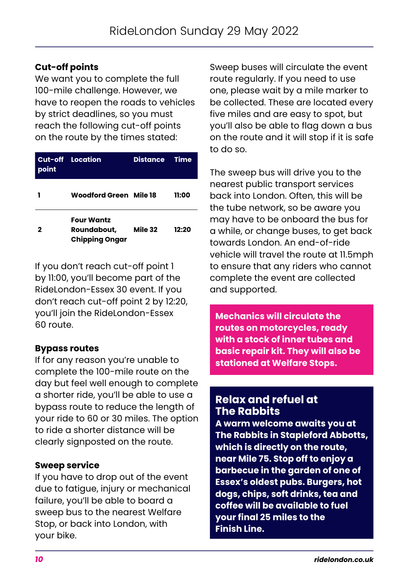#### **Cut-off points**

We want you to complete the full 100-mile challenge. However, we have to reopen the roads to vehicles by strict deadlines, so you must reach the following cut-off points on the route by the times stated:

| point | <b>Cut-off Location</b>                                   | <b>Distance</b> | <b>Time</b> |
|-------|-----------------------------------------------------------|-----------------|-------------|
|       | Woodford Green Mile 18                                    |                 | 11:00       |
| 2     | <b>Four Wantz</b><br>Roundabout,<br><b>Chipping Ongar</b> | Mile 32         | 12:20       |

If you don't reach cut-off point 1 by 11:00, you'll become part of the RideLondon-Essex 30 event. If you don't reach cut-off point 2 by 12:20, you'll join the RideLondon-Essex 60 route.

#### **Bypass routes**

If for any reason you're unable to complete the 100-mile route on the day but feel well enough to complete a shorter ride, you'll be able to use a bypass route to reduce the length of your ride to 60 or 30 miles. The option to ride a shorter distance will be clearly signposted on the route.

#### **Sweep service**

If you have to drop out of the event due to fatigue, injury or mechanical failure, you'll be able to board a sweep bus to the nearest Welfare Stop, or back into London, with your bike.

Sweep buses will circulate the event route regularly. If you need to use one, please wait by a mile marker to be collected. These are located every five miles and are easy to spot, but you'll also be able to flag down a bus on the route and it will stop if it is safe to do so.

The sweep bus will drive you to the nearest public transport services back into London. Often, this will be the tube network, so be aware you may have to be onboard the bus for a while, or change buses, to get back towards London. An end-of-ride vehicle will travel the route at 11.5mph to ensure that any riders who cannot complete the event are collected and supported.

**Mechanics will circulate the routes on motorcycles, ready with a stock of inner tubes and basic repair kit. They will also be stationed at Welfare Stops.** 

#### **Relax and refuel at The Rabbits**

**A warm welcome awaits you at The Rabbits in Stapleford Abbotts, which is directly on the route, near Mile 75. Stop off to enjoy a barbecue in the garden of one of Essex's oldest pubs. Burgers, hot dogs, chips, soft drinks, tea and coffee will be available to fuel your final 25 miles to the Finish Line.**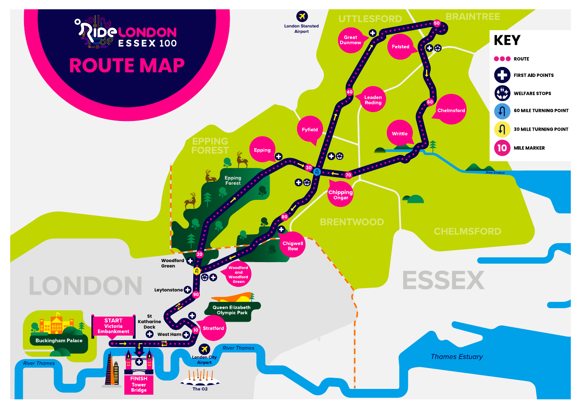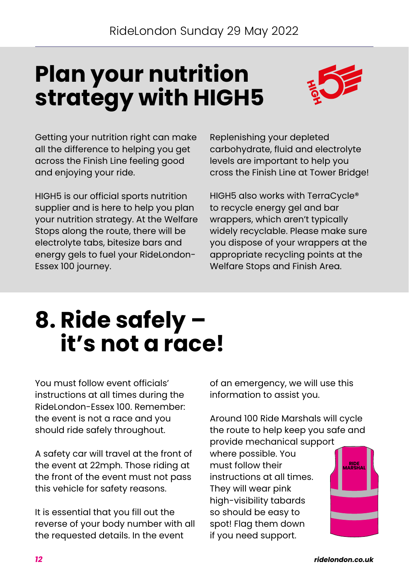### <span id="page-11-0"></span>**Plan your nutrition strategy with [HIGH5](https://highfive.co.uk/)**



Getting your nutrition right can make all the difference to helping you get across the Finish Line feeling good and enjoying your ride.

HIGH5 is our official sports nutrition supplier and is here to help you plan your nutrition strategy. At the Welfare Stops along the route, there will be electrolyte tabs, bitesize bars and energy gels to fuel your RideLondon-Essex 100 journey.

Replenishing your depleted carbohydrate, fluid and electrolyte levels are important to help you cross the Finish Line at Tower Bridge!

HIGH5 also works with TerraCycle® to recycle energy gel and bar wrappers, which aren't typically widely recyclable. Please make sure you dispose of your wrappers at the appropriate recycling points at the Welfare Stops and Finish Area.

### **8. Ride safely – it's not a race!**

You must follow event officials' instructions at all times during the Ridel ondon-Essex 100. Remember: the event is not a race and you should ride safely throughout.

A safety car will travel at the front of the event at 22mph. Those riding at the front of the event must not pass this vehicle for safety reasons.

It is essential that you fill out the reverse of your body number with all the requested details. In the event

of an emergency, we will use this information to assist you.

Around 100 Ride Marshals will cycle the route to help keep you safe and provide mechanical support

where possible. You must follow their instructions at all times. They will wear pink high-visibility tabards so should be easy to spot! Flag them down if you need support.

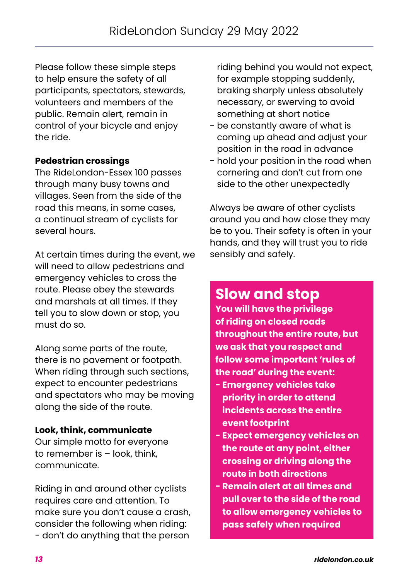Please follow these simple steps to help ensure the safety of all participants, spectators, stewards, volunteers and members of the public. Remain alert, remain in control of your bicycle and enjoy the ride.

#### **Pedestrian crossings**

The RideLondon-Essex 100 passes through many busy towns and villages. Seen from the side of the road this means, in some cases, a continual stream of cyclists for several hours.

At certain times during the event, we will need to allow pedestrians and emergency vehicles to cross the route. Please obey the stewards and marshals at all times. If they tell you to slow down or stop, you must do so.

Along some parts of the route, there is no pavement or footpath. When riding through such sections, expect to encounter pedestrians and spectators who may be moving along the side of the route.

#### **Look, think, communicate**

Our simple motto for everyone to remember is – look, think, communicate.

Riding in and around other cyclists requires care and attention. To make sure you don't cause a crash, consider the following when riding: - don't do anything that the person

riding behind you would not expect, for example stopping suddenly, braking sharply unless absolutely necessary, or swerving to avoid something at short notice

- be constantly aware of what is coming up ahead and adjust your position in the road in advance
- hold your position in the road when cornering and don't cut from one side to the other unexpectedly

Always be aware of other cyclists around you and how close they may be to you. Their safety is often in your hands, and they will trust you to ride sensibly and safely.

### **Slow and stop**

**You will have the privilege of riding on closed roads throughout the entire route, but we ask that you respect and follow some important 'rules of the road' during the event:** 

- **Emergency vehicles take priority in order to attend incidents across the entire event footprint**
- **Expect emergency vehicles on the route at any point, either crossing or driving along the route in both directions**
- **Remain alert at all times and pull over to the side of the road to allow emergency vehicles to pass safely when required**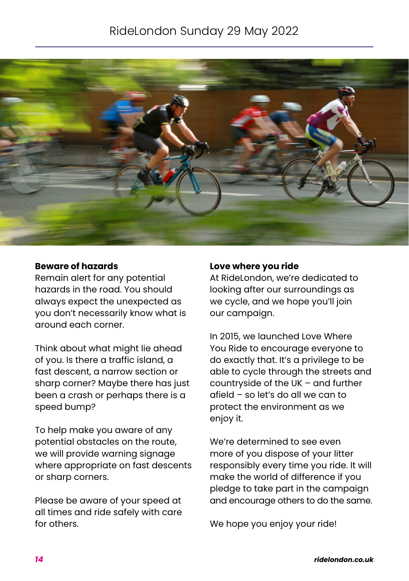### RideLondon Sunday 29 May 2022



#### **Beware of hazards**

Remain alert for any potential hazards in the road. You should always expect the unexpected as you don't necessarily know what is around each corner.

Think about what might lie ahead of you. Is there a traffic island, a fast descent, a narrow section or sharp corner? Maybe there has just been a crash or perhaps there is a speed bump?

To help make you aware of any potential obstacles on the route, we will provide warning signage where appropriate on fast descents or sharp corners.

Please be aware of your speed at all times and ride safely with care for others.

#### **Love where you ride**

At RideLondon, we're dedicated to looking after our surroundings as we cycle, and we hope you'll join our campaign.

In 2015, we launched Love Where You Ride to encourage everyone to do exactly that. It's a privilege to be able to cycle through the streets and countryside of the UK – and further afield – so let's do all we can to protect the environment as we enjoy it.

We're determined to see even more of you dispose of your litter responsibly every time you ride. It will make the world of difference if you pledge to take part in the campaign and encourage others to do the same.

We hope you enjoy your ride!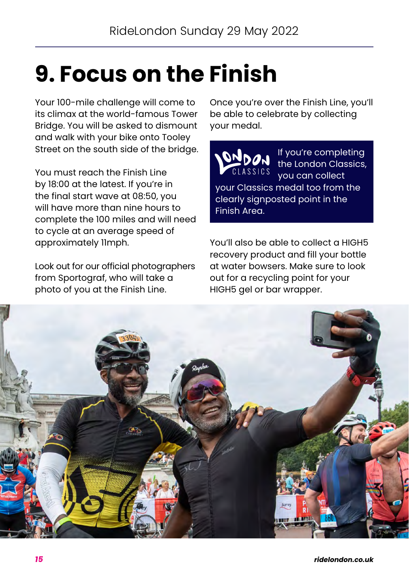## <span id="page-14-0"></span>**9. Focus on the Finish**

Your 100-mile challenge will come to its climax at the world-famous Tower Bridge. You will be asked to dismount and walk with your bike onto Tooley Street on the south side of the bridge.

You must reach the Finish Line by 18:00 at the latest. If you're in the final start wave at 08:50, you will have more than nine hours to complete the 100 miles and will need to cycle at an average speed of approximately 11mph.

Look out for our official photographers from Sportograf, who will take a photo of you at the Finish Line.

Once you're over the Finish Line, you'll be able to celebrate by collecting your medal.

If you're completing the London Classics, you can collect your Classics medal too from the clearly signposted point in the Finish Area.

You'll also be able to collect a HIGH5 recovery product and fill your bottle at water bowsers. Make sure to look out for a recycling point for your HIGH5 gel or bar wrapper.